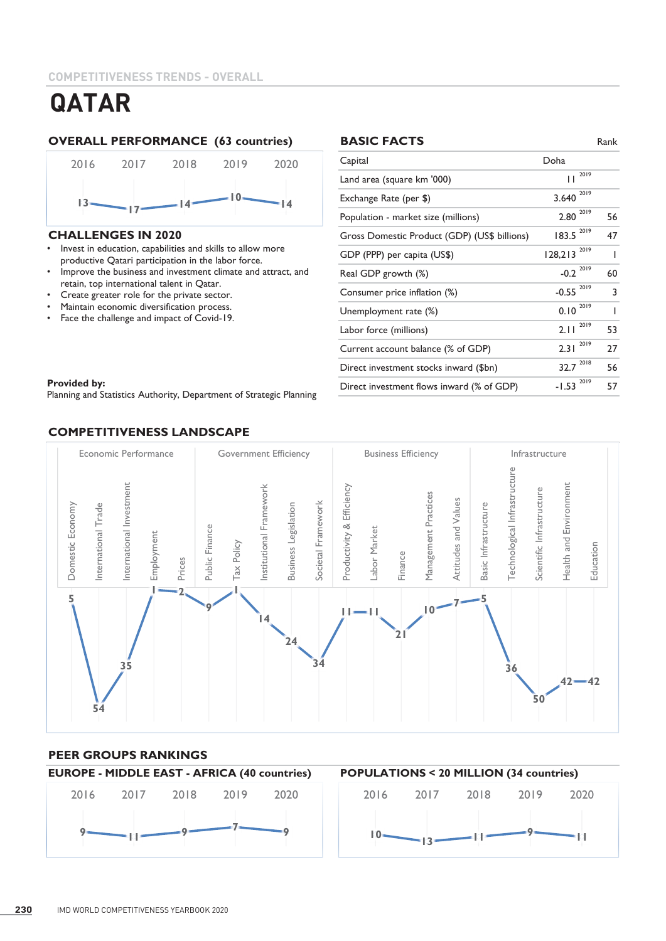# **OVERALL PERFORMANCE (63 countries) BASIC FACTS** Rank



#### **CHALLENGES IN 2020**

- Invest in education, capabilities and skills to allow more productive Qatari participation in the labor force.
- Improve the business and investment climate and attract, and retain, top international talent in Qatar.
- Create greater role for the private sector.
- Maintain economic diversification process.
- Face the challenge and impact of Covid-19.

# **BASIC FACTS**

| Capital                                      | Doha                   |    |
|----------------------------------------------|------------------------|----|
| Land area (square km '000)                   | 2019<br>П              |    |
| Exchange Rate (per \$)                       | 2019<br>3.640          |    |
| Population - market size (millions)          | $2.80^{2019}$          | 56 |
| Gross Domestic Product (GDP) (US\$ billions) | 2019<br>183.5          | 47 |
| GDP (PPP) per capita (US\$)                  | 2019<br>128,213        | ı  |
| Real GDP growth (%)                          | $-0.2 \times 10^{-19}$ | 60 |
| Consumer price inflation (%)                 | 2019<br>$-0.55$        | 3  |
| Unemployment rate (%)                        | 2019<br>0.10           | ı  |
| Labor force (millions)                       | 2019<br>2.11           | 53 |
| Current account balance (% of GDP)           | 2019<br>2.31           | 27 |
| Direct investment stocks inward (\$bn)       | 2018<br>32.7           | 56 |
| Direct investment flows inward (% of GDP)    | 2019<br>$-1.53$        | 57 |

#### **Provided by:**  $\blacksquare$

Planning and Statistics Authority, Department of Strategic Planning

# **COMPETITIVENESS LANDSCAPE**



# **PEER GROUPS RANKINGS**

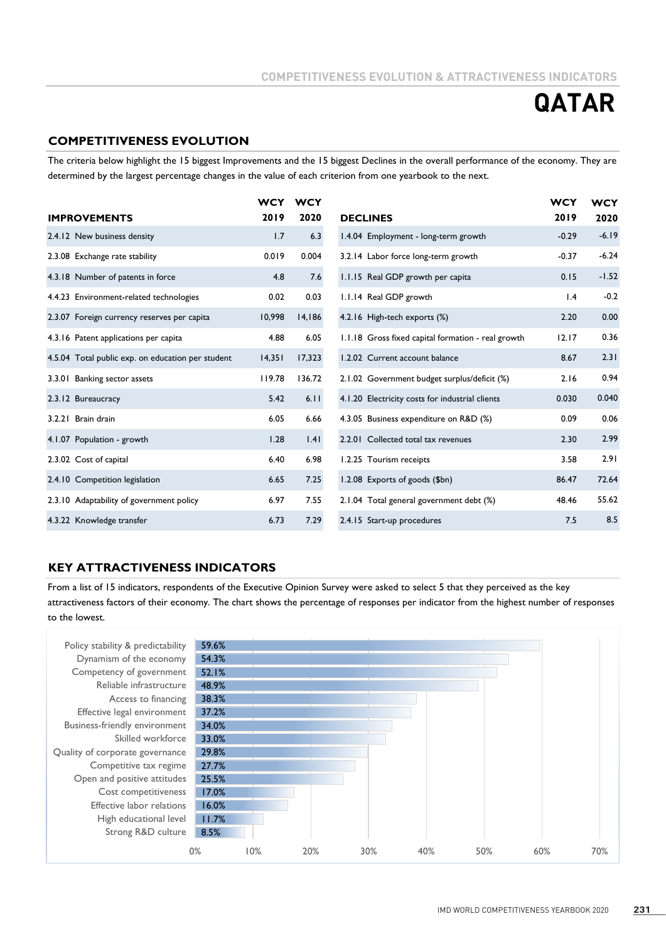# **COMPETITIVENESS EVOLUTION**

The criteria below highlight the 15 biggest Improvements and the 15 biggest Declines in the overall performance of the economy. They are determined by the largest percentage changes in the value of each criterion from one yearbook to the next.

|                                                   | <b>WCY</b> | <b>WCY</b> |                                                    | <b>WCY</b> | <b>WCY</b> |
|---------------------------------------------------|------------|------------|----------------------------------------------------|------------|------------|
| <b>IMPROVEMENTS</b>                               | 2019       | 2020       | <b>DECLINES</b>                                    | 2019       | 2020       |
| 2.4.12 New business density                       | 1.7        | 6.3        | 1.4.04 Employment - long-term growth               | $-0.29$    | $-6.19$    |
| 2.3.08 Exchange rate stability                    | 0.019      | 0.004      | 3.2.14 Labor force long-term growth                | $-0.37$    | $-6.24$    |
| 4.3.18 Number of patents in force                 | 4.8        | 7.6        | 1.1.15 Real GDP growth per capita                  | 0.15       | $-1.52$    |
| 4.4.23 Environment-related technologies           | 0.02       | 0.03       | 1.1.14 Real GDP growth                             | 1.4        | $-0.2$     |
| 2.3.07 Foreign currency reserves per capita       | 10,998     | 14,186     | 4.2.16 High-tech exports (%)                       | 2.20       | 0.00       |
| 4.3.16 Patent applications per capita             | 4.88       | 6.05       | 1.1.18 Gross fixed capital formation - real growth | 12.17      | 0.36       |
| 4.5.04 Total public exp. on education per student | 14,351     | 17,323     | 1.2.02 Current account balance                     | 8.67       | 2.31       |
| 3.3.01 Banking sector assets                      | 119.78     | 136.72     | 2.1.02 Government budget surplus/deficit (%)       | 2.16       | 0.94       |
| 2.3.12 Bureaucracy                                | 5.42       | 6.11       | 4.1.20 Electricity costs for industrial clients    | 0.030      | 0.040      |
| 3.2.21 Brain drain                                | 6.05       | 6.66       | 4.3.05 Business expenditure on R&D (%)             | 0.09       | 0.06       |
| 4.1.07 Population - growth                        | 1.28       | 1.41       | 2.2.01 Collected total tax revenues                | 2.30       | 2.99       |
| 2.3.02 Cost of capital                            | 6.40       | 6.98       | 1.2.25 Tourism receipts                            | 3.58       | 2.91       |
| 2.4.10 Competition legislation                    | 6.65       | 7.25       | 1.2.08 Exports of goods (\$bn)                     | 86.47      | 72.64      |
| 2.3.10 Adaptability of government policy          | 6.97       | 7.55       | 2.1.04 Total general government debt (%)           | 48.46      | 55.62      |
| 4.3.22 Knowledge transfer                         | 6.73       | 7.29       | 2.4.15 Start-up procedures                         | 7.5        | 8.5        |

### **KEY ATTRACTIVENESS INDICATORS**

From a list of 15 indicators, respondents of the Executive Opinion Survey were asked to select 5 that they perceived as the key attractiveness factors of their economy. The chart shows the percentage of responses per indicator from the highest number of responses to the lowest.

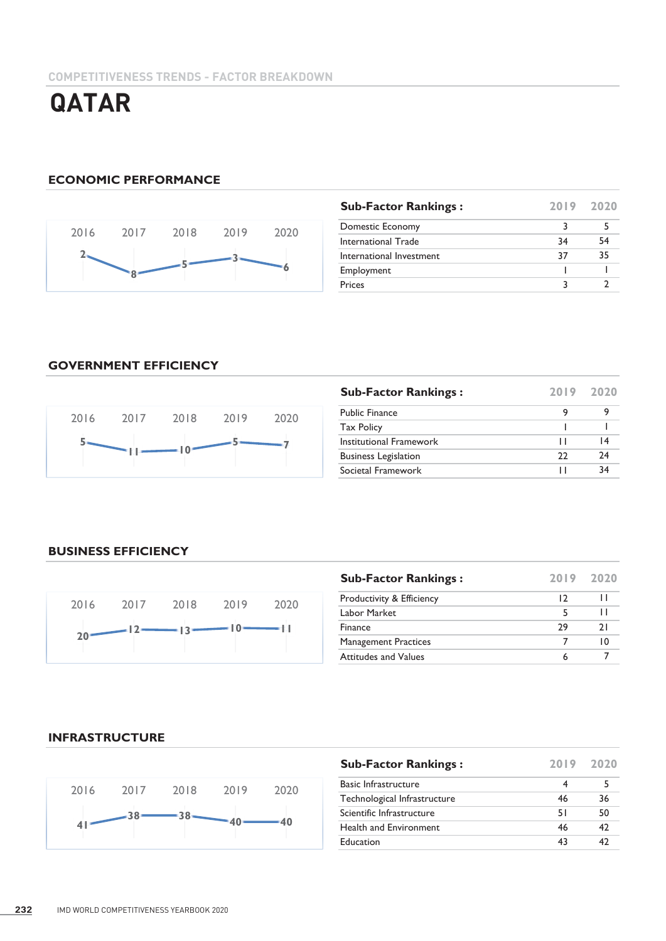# **ECONOMIC PERFORMANCE**



| <b>Sub-Factor Rankings:</b> | 2019 2020 |    |
|-----------------------------|-----------|----|
| Domestic Economy            | 3         |    |
| International Trade         | 34        | 54 |
| International Investment    | 37        | 35 |
| Employment                  |           |    |
| Prices                      |           |    |

# **GOVERNMENT EFFICIENCY**



| <b>Sub-Factor Rankings:</b> | 2019 2020 |    |
|-----------------------------|-----------|----|
| <b>Public Finance</b>       | 9         |    |
| <b>Tax Policy</b>           |           |    |
| Institutional Framework     |           | 14 |
| <b>Business Legislation</b> | フフ        | 24 |
| Societal Framework          |           | 34 |

### **BUSINESS EFFICIENCY**



| <b>Sub-Factor Rankings:</b>          | 2019 2020 |                 |
|--------------------------------------|-----------|-----------------|
| <b>Productivity &amp; Efficiency</b> | 12        | $\mathbf{L}$    |
| Labor Market                         | 5         | п               |
| Finance                              | 29        | 21              |
| <b>Management Practices</b>          |           | $\overline{10}$ |
| <b>Attitudes and Values</b>          | 6         |                 |

#### **INFRASTRUCTURE**



| <b>Sub-Factor Rankings:</b>  |    | 2019 2020 |
|------------------------------|----|-----------|
| <b>Basic Infrastructure</b>  | 4  |           |
| Technological Infrastructure | 46 | 36        |
| Scientific Infrastructure    | 51 | 50        |
| Health and Environment       | 46 | 42        |
| Education                    | 43 | 47        |